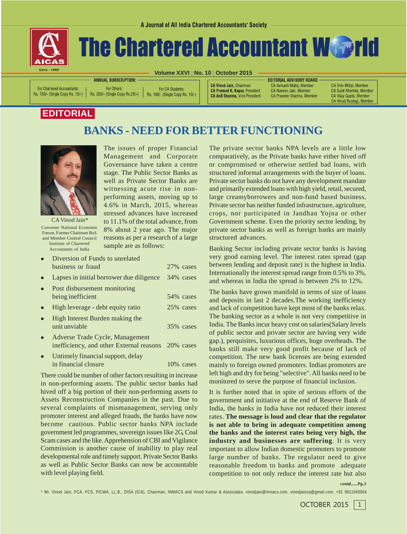

# **The Chartered Accountant Webrid**

**Volume XXVI | No. 10 | October 2015**

For Chartered Accountants: Rs. 150/- (Single Copy Rs. 15/-)

**ANNUAL SUBSCRIPTION:** For Others: Rs. 200/- (Single Copy Rs. 20/-)

For CA Students: Rs. 100/- (Single Copy Rs. 10/-) **CA Vinod Jain.** Chairman **CA Pramod K. Kapur, President CA Anil Sharma, Vice President**  **EDITORIAL ADVISORY BOARD CA Avinash Matta, Member** CA Naveen Jain, Member CA Praveen Sharma, Member

**CA Shiv Mittal, Member** CA Sunil Khemka, Member CA Vijay Gupta, Member CA Vinod Rustagi, Member

## **EDITORIAL**

## **BANKS - NEED FOR BETTER FUNCTIONING**



CA Vinod Jain\* Convener National Economic Forum, Former Chairman BoS and Member Central Council Institute of Chartered Accountants of India

The issues of proper Financial Management and Corporate Governance have taken a centre stage. The Public Sector Banks as well as Private Sector Banks are witnessing acute rise in nonperforming assets, moving up to 4.6% in March, 2015, whereas stressed advances have increased to 11.1% of the total advance, from 8% about 2 year ago. The major reasons as per a research of a large sample are as follows:

| • Diversion of Funds to unrelated |            |
|-----------------------------------|------------|
| business or fraud                 | 27\% cases |

- Lapses in initial borrower due diligence  $34\%$  cases
- Post disbursement monitoring being inefficient 54% cases • High leverage - debt equity ratio 25% cases • High Interest Burden making the
- unit unviable 35% cases
- Adverse Trade Cycle, Management inefficiency, and other External reasons 20% cases
- Untimely financial support, delay in financial closure 10% cases

There could be number of other factors resulting in increase in non-performing assets. The public sector banks had hived off a big portion of their non-performing assets to Assets Reconstruction Companies in the past. Due to several complaints of mismanagement, serving only promoter interest and alleged frauds, the banks have now become cautious. Public sector banks NPA include government led programmes, sovereign issues like 2G, Coal Scam cases and the like. Apprehension of CBI and Vigilance Commission is another cause of inability to play real developmental role and timely support. Private Sector Banks as well as Public Sector Banks can now be accountable with level playing field.

The private sector banks NPA levels are a little low comparatively, as the Private banks have either hived off or compromised or otherwise settled bad loans, with structured informal arrangements with the buyer of loans. Private sector banks do not have any development mandate and primarily extended loans with high yield, retail, secured, large creamyborrowers and non-fund based business, Private sector has neither funded infrastructure, agriculture, crops, nor participated in Jandhan Yojna or other Government scheme. Even the priority sector lending, by private sector banks as well as foreign banks are mainly structured advances.

Banking Sector including private sector banks is having very good earning level. The interest rates spread (gap between lending and deposit rate) is the highest in India. Internationally the interest spread range from 0.5% to 3%, and whereas in India the spread is between 2% to 12%.

The banks have grown manifold in terms of size of loans and deposits in last 2 decades.The working inefficiency and lack of competition have kept most of the banks relax. The banking sector as a whole is not very competitive in India. The Banks incur heavy cost on salaries(Salary levels of public sector and private sector are having very wide gap.), perquisites, luxurious offices, huge overheads. The banks still make very good profit because of lack of competition. The new bank licenses are being extended mainly to foreign owned promoters. Indian promoters are left high and dry for being "selective". All banks need to be monitored to serve the purpose of financial inclusion.

It is further noted that in spite of serious efforts of the government and initiative at the end of Reserve Bank of India, the banks in India have not reduced their interest rates. **The message is loud and clear that the regulator is not able to bring in adequate competition among the banks and the interest rates being very high, the industry and businesses are suffering**. It is very important to allow Indian domestic promoters to promote large number of banks. The regulator need to give reasonable freedom to banks and promote adequate competition to not only reduce the interest rate but also

*contd......Pg.3*

\* Mr. Vinod Jain, FCA, FCS, FICWA, LL.B., DISA (ICA), Chairman, INMACS and Vinod Kumar & Associates. vinodjain@inmacs.com, vinodjainca@gmail.com, +91 9811040004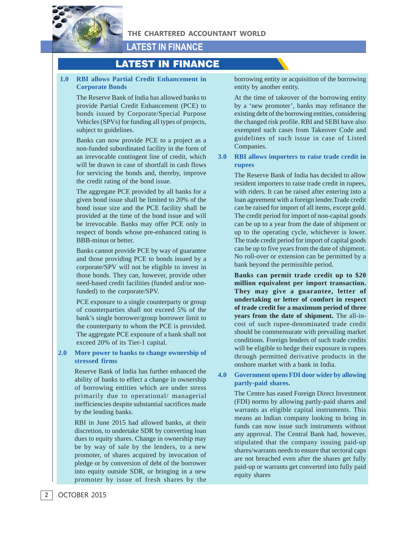

## **LATEST IN FINANCE**

## LATEST IN FINANCE

## **1.0 RBI allows Partial Credit Enhancement in Corporate Bonds**

The Reserve Bank of India has allowed banks to provide Partial Credit Enhancement (PCE) to bonds issued by Corporate/Special Purpose Vehicles (SPVs) for funding all types of projects, subject to guidelines.

Banks can now provide PCE to a project as a non-funded subordinated facility in the form of an irrevocable contingent line of credit, which will be drawn in case of shortfall in cash flows for servicing the bonds and, thereby, improve the credit rating of the bond issue.

The aggregate PCE provided by all banks for a given bond issue shall be limited to 20% of the bond issue size and the PCE facility shall be provided at the time of the bond issue and will be irrevocable. Banks may offer PCE only in respect of bonds whose pre-enhanced rating is BBB-minus or better.

Banks cannot provide PCE by way of guarantee and those providing PCE to bonds issued by a corporate/SPV will not be eligible to invest in those bonds. They can, however, provide other need-based credit facilities (funded and/or nonfunded) to the corporate/SPV.

PCE exposure to a single counterparty or group of counterparties shall not exceed 5% of the bank's single borrower/group borrower limit to the counterparty to whom the PCE is provided. The aggregate PCE exposure of a bank shall not exceed 20% of its Tier-1 capital.

**2.0 More power to banks to change ownership of stressed firms**

> Reserve Bank of India has further enhanced the ability of banks to effect a change in ownership of borrowing entities which are under stress primarily due to operational/ managerial inefficiencies despite substantial sacrifices made by the lending banks.

> RBI in June 2015 had allowed banks, at their discretion, to undertake SDR by converting loan dues to equity shares. Change in ownership may be by way of sale by the lenders, to a new promoter, of shares acquired by invocation of pledge or by conversion of debt of the borrower into equity outside SDR, or bringing in a new promoter by issue of fresh shares by the

borrowing entity or acquisition of the borrowing entity by another entity.

At the time of takeover of the borrowing entity by a 'new promoter', banks may refinance the existing debt of the borrowing entities, considering the changed risk profile. RBI and SEBI have also exempted such cases from Takeover Code and guidelines of such issue in case of Listed Companies.

## **3.0 RBI allows importers to raise trade credit in rupees**

The Reserve Bank of India has decided to allow resident importers to raise trade credit in rupees, with riders. It can be raised after entering into a loan agreement with a foreign lender.Trade credit can be raised for import of all items, except gold. The credit period for import of non-capital goods can be up to a year from the date of shipment or up to the operating cycle, whichever is lower. The trade credit period for import of capital goods can be up to five years from the date of shipment. No roll-over or extension can be permitted by a bank beyond the permissible period.

**Banks can permit trade credit up to \$20 million equivalent per import transaction. They may give a guarantee, letter of undertaking or letter of comfort in respect of trade credit for a maximum period of three years from the date of shipment.** The all-incost of such rupee-denominated trade credit should be commensurate with prevailing market conditions. Foreign lenders of such trade credits will be eligible to hedge their exposure in rupees through permitted derivative products in the onshore market with a bank in India.

**4.0 Government opens FDI door wider by allowing partly-paid shares.**

> The Centre has eased Foreign Direct Investment (FDI) norms by allowing partly-paid shares and warrants as eligible capital instruments. This means an Indian company looking to bring in funds can now issue such instruments without any approval. The Central Bank had, however, stipulated that the company issuing paid-up shares/warrants needs to ensure that sectoral caps are not breached even after the shares get fully paid-up or warrants get converted into fully paid equity shares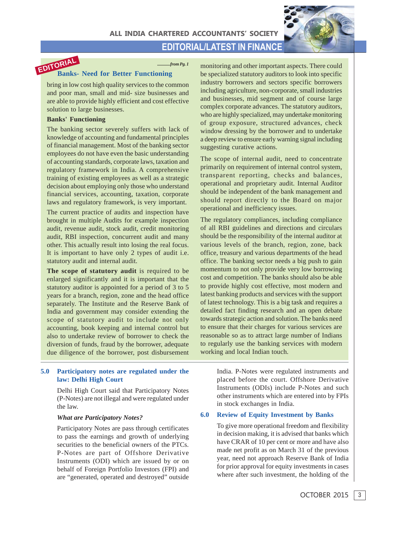**EDITORIAL/LATEST IN FINANCE**





## *............from Pg. 1*

**Banks- Need for Better Functioning EDITORIAL**

bring in low cost high quality services to the common and poor man, small and mid- size businesses and are able to provide highly efficient and cost effective solution to large businesses.

#### **Banks' Functioning**

The banking sector severely suffers with lack of knowledge of accounting and fundamental principles of financial management. Most of the banking sector employees do not have even the basic understanding of accounting standards, corporate laws, taxation and regulatory framework in India. A comprehensive training of existing employees as well as a strategic decision about employing only those who understand financial services, accounting, taxation, corporate laws and regulatory framework, is very important.

The current practice of audits and inspection have brought in multiple Audits for example inspection audit, revenue audit, stock audit, credit monitoring audit, RBI inspection, concurrent audit and many other. This actually result into losing the real focus. It is important to have only 2 types of audit i.e. statutory audit and internal audit.

**The scope of statutory audit** is required to be enlarged significantly and it is important that the statutory auditor is appointed for a period of 3 to 5 years for a branch, region, zone and the head office separately. The Institute and the Reserve Bank of India and government may consider extending the scope of statutory audit to include not only accounting, book keeping and internal control but also to undertake review of borrower to check the diversion of funds, fraud by the borrower, adequate due diligence of the borrower, post disbursement

#### **5.0 Participatory notes are regulated under the law: Delhi High Court**

Delhi High Court said that Participatory Notes (P-Notes) are not illegal and were regulated under the law.

#### *What are Participatory Notes?*

Participatory Notes are pass through certificates to pass the earnings and growth of underlying securities to the beneficial owners of the PTCs. P-Notes are part of Offshore Derivative Instruments (ODI) which are issued by or on behalf of Foreign Portfolio Investors (FPI) and are "generated, operated and destroyed" outside monitoring and other important aspects. There could be specialized statutory auditors to look into specific industry borrowers and sectors specific borrowers including agriculture, non-corporate, small industries and businesses, mid segment and of course large complex corporate advances. The statutory auditors, who are highly specialized, may undertake monitoring of group exposure, structured advances, check window dressing by the borrower and to undertake a deep review to ensure early warning signal including suggesting curative actions.

The scope of internal audit, need to concentrate primarily on requirement of internal control system, transparent reporting, checks and balances, operational and proprietary audit. Internal Auditor should be independent of the bank management and should report directly to the Board on major operational and inefficiency issues.

The regulatory compliances, including compliance of all RBI guidelines and directions and circulars should be the responsibility of the internal auditor at various levels of the branch, region, zone, back office, treasury and various departments of the head office. The banking sector needs a big push to gain momentum to not only provide very low borrowing cost and competition. The banks should also be able to provide highly cost effective, most modern and latest banking products and services with the support of latest technology. This is a big task and requires a detailed fact finding research and an open debate towards strategic action and solution. The banks need to ensure that their charges for various services are reasonable so as to attract large number of Indians to regularly use the banking services with modern working and local Indian touch.

> India. P-Notes were regulated instruments and placed before the court. Offshore Derivative Instruments (ODIs) include P-Notes and such other instruments which are entered into by FPIs in stock exchanges in India.

### **6.0 Review of Equity Investment by Banks**

To give more operational freedom and flexibility in decision making, it is advised that banks which have CRAR of 10 per cent or more and have also made net profit as on March 31 of the previous year, need not approach Reserve Bank of India for prior approval for equity investments in cases where after such investment, the holding of the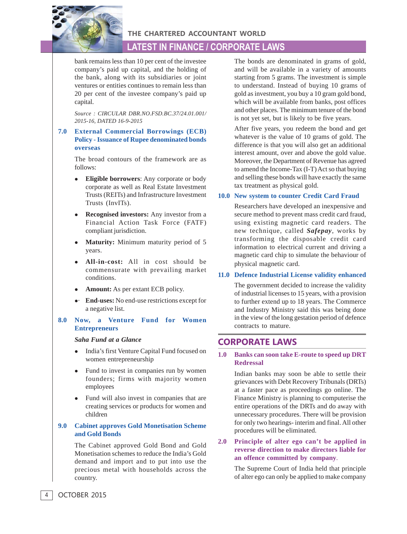

**THE CHARTERED ACCOUNTANT WORLD**

## **LATEST IN FINANCE / CORPORATE LAWS**

bank remains less than 10 per cent of the investee company's paid up capital, and the holding of the bank, along with its subsidiaries or joint ventures or entities continues to remain less than 20 per cent of the investee company's paid up capital.

*Source : CIRCULAR DBR.NO.FSD.BC.37/24.01.001/ 2015-16, DATED 16-9-2015*

## **7.0 External Commercial Borrowings (ECB) Policy - Issuance of Rupee denominated bonds overseas**

The broad contours of the framework are as follows:

- **Eligible borrowers**: Any corporate or body corporate as well as Real Estate Investment Trusts (REITs) and Infrastructure Investment Trusts (InvITs).
- **Recognised investors:** Any investor from a Financial Action Task Force (FATF) compliant jurisdiction.
- **Maturity:** Minimum maturity period of 5 years.
- <sup>z</sup> **All-in-cost:** All in cost should be commensurate with prevailing market conditions.
- Amount: As per extant ECB policy.
- **End-uses:** No end-use restrictions except for a negative list.

## **8.0 Now, a Venture Fund for Women Entrepreneurs**

#### *Saha Fund at a Glance*

- India's first Venture Capital Fund focused on women entrepreneurship
- Fund to invest in companies run by women founders; firms with majority women employees
- Fund will also invest in companies that are creating services or products for women and children

## **9.0 Cabinet approves Gold Monetisation Scheme and Gold Bonds**

The Cabinet approved Gold Bond and Gold Monetisation schemes to reduce the India's Gold demand and import and to put into use the precious metal with households across the country.

The bonds are denominated in grams of gold, and will be available in a variety of amounts starting from 5 grams. The investment is simple to understand. Instead of buying 10 grams of gold as investment, you buy a 10 gram gold bond, which will be available from banks, post offices and other places. The minimum tenure of the bond is not yet set, but is likely to be five years.

After five years, you redeem the bond and get whatever is the value of 10 grams of gold. The difference is that you will also get an additional interest amount, over and above the gold value. Moreover, the Department of Revenue has agreed to amend the Income-Tax (I-T) Act so that buying and selling these bonds will have exactly the same tax treatment as physical gold.

## **10.0 New system to counter Credit Card Fraud**

Researchers have developed an inexpensive and secure method to prevent mass credit card fraud, using existing magnetic card readers. The new technique, called *Safepay*, works by transforming the disposable credit card information to electrical current and driving a magnetic card chip to simulate the behaviour of physical magnetic card.

## **11.0 Defence Industrial License validity enhanced**

The government decided to increase the validity of industrial licenses to 15 years, with a provision to further extend up to 18 years. The Commerce and Industry Ministry said this was being done in the view of the long gestation period of defence contracts to mature.

## **CORPORATE LAWS**

## **1.0 Banks can soon take E-route to speed up DRT Redressal**

Indian banks may soon be able to settle their grievances with Debt Recovery Tribunals (DRTs) at a faster pace as proceedings go online. The Finance Ministry is planning to computerise the entire operations of the DRTs and do away with unnecessary procedures. There will be provision for only two hearings- interim and final. All other procedures will be eliminated.

**2.0 Principle of alter ego can't be applied in reverse direction to make directors liable for an offence committed by company**.

> The Supreme Court of India held that principle of alter ego can only be applied to make company

OCTOBER 2015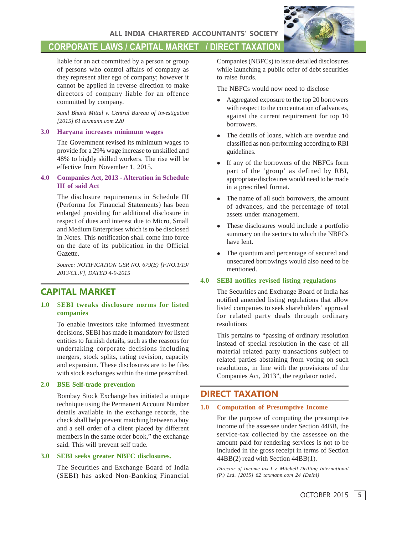## **CORPORATE LAWS / CAPITAL MARKET / DIRECT TAXATION**

liable for an act committed by a person or group of persons who control affairs of company as they represent alter ego of company; however it cannot be applied in reverse direction to make directors of company liable for an offence committed by company.

*Sunil Bharti Mittal v. Central Bureau of Investigation [2015] 61 taxmann.com 220*

#### **3.0 Haryana increases minimum wages**

The Government revised its minimum wages to provide for a 29% wage increase to unskilled and 48% to highly skilled workers. The rise will be effective from November 1, 2015.

## **4.0 Companies Act, 2013 - Alteration in Schedule III of said Act**

The disclosure requirements in Schedule III (Performa for Financial Statements) has been enlarged providing for additional disclosure in respect of dues and interest due to Micro, Small and Medium Enterprises which is to be disclosed in Notes. This notification shall come into force on the date of its publication in the Official Gazette.

*Source: NOTIFICATION GSR NO. 679(E) [F.NO.1/19/ 2013/CL.V], DATED 4-9-2015*

## **CAPITAL MARKET**

## **1.0** S**EBI tweaks disclosure norms for listed companies**

To enable investors take informed investment decisions, SEBI has made it mandatory for listed entities to furnish details, such as the reasons for undertaking corporate decisions including mergers, stock splits, rating revision, capacity and expansion. These disclosures are to be files with stock exchanges within the time prescribed.

## **2.0 BSE Self-trade prevention**

Bombay Stock Exchange has initiated a unique technique using the Permanent Account Number details available in the exchange records, the check shall help prevent matching between a buy and a sell order of a client placed by different members in the same order book," the exchange said. This will prevent self trade.

## **3.0 SEBI seeks greater NBFC disclosures.**

The Securities and Exchange Board of India (SEBI) has asked Non-Banking Financial Companies (NBFCs) to issue detailed disclosures while launching a public offer of debt securities to raise funds.

The NBFCs would now need to disclose

- Aggregated exposure to the top 20 borrowers with respect to the concentration of advances, against the current requirement for top 10 borrowers.
- The details of loans, which are overdue and classified as non-performing according to RBI guidelines.
- If any of the borrowers of the NBFCs form part of the 'group' as defined by RBI, appropriate disclosures would need to be made in a prescribed format.
- The name of all such borrowers, the amount of advances, and the percentage of total assets under management.
- These disclosures would include a portfolio summary on the sectors to which the NBFCs have lent.
- The quantum and percentage of secured and unsecured borrowings would also need to be mentioned.

## **4.0 SEBI notifies revised listing regulations**

The Securities and Exchange Board of India has notified amended listing regulations that allow listed companies to seek shareholders' approval for related party deals through ordinary resolutions

This pertains to "passing of ordinary resolution instead of special resolution in the case of all material related party transactions subject to related parties abstaining from voting on such resolutions, in line with the provisions of the Companies Act, 2013", the regulator noted.

## **DIRECT TAXATION**

#### **1.0 Computation of Presumptive Income**

For the purpose of computing the presumptive income of the assessee under Section 44BB, the service-tax collected by the assessee on the amount paid for rendering services is not to be included in the gross receipt in terms of Section 44BB(2) read with Section 44BB(1).

*Director of Income tax-I v. Mitchell Drilling International (P.) Ltd. [2015] 62 taxmann.com 24 (Delhi)*

OCTOBER 2015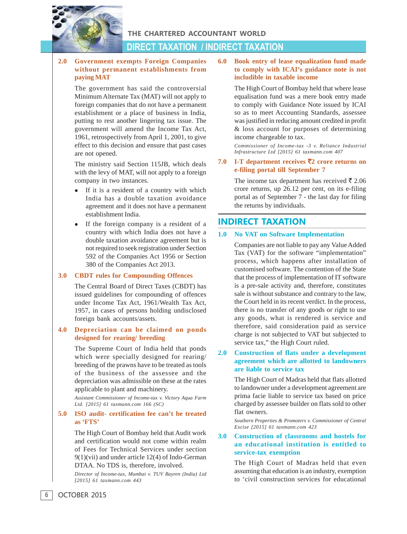

**THE CHARTERED ACCOUNTANT WORLD**

## **DIRECT TAXATION / INDIRECT TAXATION**

## **2.0 Government exempts Foreign Companies without permanent establishments from paying MAT**

The government has said the controversial Minimum Alternate Tax (MAT) will not apply to foreign companies that do not have a permanent establishment or a place of business in India, putting to rest another lingering tax issue. The government will amend the Income Tax Act, 1961, retrospectively from April 1, 2001, to give effect to this decision and ensure that past cases are not opened.

The ministry said Section 115JB, which deals with the levy of MAT, will not apply to a foreign company in two instances.

- If it is a resident of a country with which India has a double taxation avoidance agreement and it does not have a permanent establishment India.
- If the foreign company is a resident of a country with which India does not have a double taxation avoidance agreement but is not required to seek registration under Section 592 of the Companies Act 1956 or Section 380 of the Companies Act 2013.

## **3.0 CBDT rules for Compounding Offences**

The Central Board of Direct Taxes (CBDT) has issued guidelines for compounding of offences under Income Tax Act, 1961/Wealth Tax Act, 1957, in cases of persons holding undisclosed foreign bank accounts/assets.

#### **4.0 Depreciation can be claimed on ponds designed for rearing/ breeding**

The Supreme Court of India held that ponds which were specially designed for rearing/ breeding of the prawns have to be treated as tools of the business of the assessee and the depreciation was admissible on these at the rates applicable to plant and machinery.

*Assistant Commissioner of Income-tax v. Victory Aqua Farm Ltd. [2015] 61 taxmann.com 166 (SC)*

## **5.0 ISO audit- certification fee can't be treated as 'FTS'**

The High Court of Bombay held that Audit work and certification would not come within realm of Fees for Technical Services under section 9(1)(vii) and under article 12(4) of Indo-German DTAA. No TDS is, therefore, involved.

*Director of Income-tax, Mumbai v. TUV Bayren (India) Ltd [2015] 61 taxmann.com 443*

## **6.0 Book entry of lease equalization fund made to comply with ICAI's guidance note is not includible in taxable income**

The High Court of Bombay held that where lease equalisation fund was a mere book entry made to comply with Guidance Note issued by ICAI so as to meet Accounting Standards, assessee was justified in reducing amount credited in profit & loss account for purposes of determining income chargeable to tax.

*Commissioner of Income-tax -3 v. Reliance Industrial Infrastructure Ltd [2015] 61 taxmann.com 407*

**7.0 I-T department receives** `**2 crore returns on e-filing portal till September 7**

> The income tax department has received  $\bar{\bar{\xi}}$  2.06 crore returns, up 26.12 per cent, on its e-filing portal as of September 7 - the last day for filing the returns by individuals.

## **INDIRECT TAXATION**

#### **1.0 No VAT on Software Implementation**

Companies are not liable to pay any Value Added Tax (VAT) for the software "implementation" process, which happens after installation of customised software. The contention of the State that the process of implementation of IT software is a pre-sale activity and, therefore, constitutes sale is without substance and contrary to the law, the Court held in its recent verdict. In the process, there is no transfer of any goods or right to use any goods, what is rendered is service and therefore, said consideration paid as service charge is not subjected to VAT but subjected to service tax," the High Court ruled.

## **2.0 Construction of flats under a development agreement which are allotted to landowners are liable to service tax**

The High Court of Madras held that flats allotted to landowner under a development agreement are prima facie liable to service tax based on price charged by assessee builder on flats sold to other flat owners.

*Southern Properties & Promoters v. Commissioner of Central Excise [2015] 61 taxmann.com 423*

## **3.0 Construction of classrooms and hostels for an educational institution is entitled to service-tax exemption**

The High Court of Madras held that even assuming that education is an industry, exemption to 'civil construction services for educational

OCTOBER 2015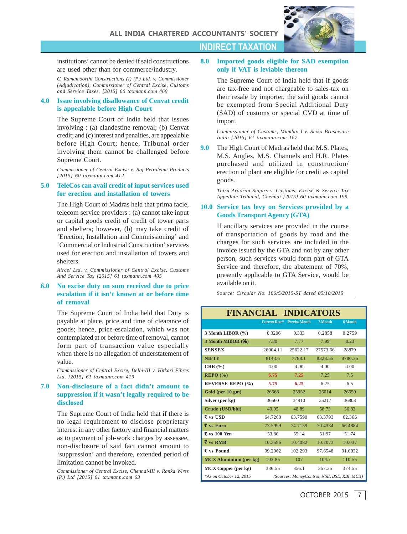

institutions' cannot be denied if said constructions are used other than for commerce/industry.

*G. Ramamoorthi Constructions (I) (P.) Ltd. v. Commissioner (Adjudication), Commissioner of Central Excise, Customs and Service Taxes. [2015] 60 taxmann.com 469*

#### **4.0 Issue involving disallowance of Cenvat credit is appealable before High Court**

The Supreme Court of India held that issues involving : (a) clandestine removal; (b) Cenvat credit; and (c) interest and penalties, are appealable before High Court; hence, Tribunal order involving them cannot be challenged before Supreme Court.

*Commissioner of Central Excise v. Raj Petroleum Products [2015] 60 taxmann.com 412*

#### **5.0 TeleCos can avail credit of input services used for erection and installation of towers**

The High Court of Madras held that prima facie, telecom service providers : (a) cannot take input or capital goods credit of credit of tower parts and shelters; however, (b) may take credit of 'Erection, Installation and Commissioning' and 'Commercial or Industrial Construction' services used for erection and installation of towers and shelters.

*Aircel Ltd. v. Commissioner of Central Excise, Customs And Service Tax [2015] 61 taxmann.com 405*

## **6.0 No excise duty on sum received due to price escalation if it isn't known at or before time of removal**

The Supreme Court of India held that Duty is payable at place, price and time of clearance of goods; hence, price-escalation, which was not contemplated at or before time of removal, cannot form part of transaction value especially when there is no allegation of understatement of value.

*Commissioner of Central Excise, Delhi-III v. Hitkari Fibres Ltd. [2015] 61 taxmann.com 419*

## **7.0 Non-disclosure of a fact didn't amount to suppression if it wasn't legally required to be disclosed**

The Supreme Court of India held that if there is no legal requirement to disclose proprietary interest in any other factory and financial matters as to payment of job-work charges by assessee, non-disclosure of said fact cannot amount to 'suppression' and therefore, extended period of limitation cannot be invoked.

*Commissioner of Central Excise, Chennai-III v. Ranka Wires (P.) Ltd [2015] 61 taxmann.com 63*

## **8.0 Imported goods eligible for SAD exemption only if VAT is leviable thereon**

**INDIRECT TAXATION**

The Supreme Court of India held that if goods are tax-free and not chargeable to sales-tax on their resale by importer, the said goods cannot be exempted from Special Additional Duty (SAD) of customs or special CVD at time of import.

*Commissioner of Customs, Mumbai-I v. Seiko Brushware India [2015] 61 taxmann.com 167*

**9.0** The High Court of Madras held that M.S. Plates, M.S. Angles, M.S. Channels and H.R. Plates purchased and utilized in construction/ erection of plant are eligible for credit as capital goods.

> *Thiru Arooran Sugars v. Customs, Excise & Service Tax Appellate Tribunal, Chennai [2015] 60 taxmann.com 199.*

## **10.0 Service tax levy on Services provided by a Goods Transport Agency (GTA)**

If ancillary services are provided in the course of transportation of goods by road and the charges for such services are included in the invoice issued by the GTA and not by any other person, such services would form part of GTA Service and therefore, the abatement of 70%, presently applicable to GTA Service, would be available on it.

*Source: Circular No. 186/5/2015-ST dated 05/10/2015*

## **FINANCIAL INDICATORS**

|                                           |                                             | <b>Current Rate*</b> Previos Month | 3 Month  | 6 Month |  |
|-------------------------------------------|---------------------------------------------|------------------------------------|----------|---------|--|
| 3 Month LIBOR (%)                         | 0.3206                                      | 0.333                              | 0.2858   | 0.2759  |  |
| 3 Month MIBOR (%)                         | 7.80                                        | 7.77                               | 7.99     | 8.23    |  |
| <b>SENSEX</b>                             | 26904.11                                    | 25622.17                           | 27573.66 | 28879   |  |
| <b>NIFTY</b>                              | 8143.6                                      | 7788.1                             | 8328.55  | 8780.35 |  |
| CRR(%)                                    | 4.00                                        | 4.00                               | 4.00     | 4.00    |  |
| REPO(%)                                   | 6.75                                        | 7.25                               | 7.25     | 7.5     |  |
| <b>REVERSE REPO (%)</b>                   | 5.75                                        | 6.25                               | 6.25     | 6.5     |  |
| Gold (per 10 gm)                          | 26568                                       | 25952                              | 26014    | 26550   |  |
| Silver (per kg)                           | 36560                                       | 34910                              | 35217    | 36803   |  |
| Crude (USD/bbl)                           | 49.95                                       | 48.89                              | 58.73    | 56.83   |  |
| $\overline{\tau}$ vs USD                  | 64.7260                                     | 63.7590                            | 63.3793  | 62.366  |  |
| $\bar{\bar{\tau}}$ vs Euro                | 73.5999                                     | 74.7139                            | 70.4334  | 66.4884 |  |
| ₹ vs 100 Yen                              | 53.86                                       | 55.14                              | 51.97    | 51.74   |  |
| $\overline{\mathbf{\xi}}$ vs RMB          | 10.2596                                     | 10.4082                            | 10.2073  | 10.037  |  |
| $\overline{\mathbf{\mathsf{z}}}$ vs Pound | 99.2962                                     | 102.293                            | 97.6548  | 91.6032 |  |
| <b>MCX</b> Aluminium (per kg)             | 103.85                                      | 107                                | 104.7    | 110.55  |  |
| MCX Copper (per kg)                       | 336.55                                      | 356.1                              | 357.25   | 374.55  |  |
| *As on October 12, 2015                   | (Sources: MoneyControl, NSE, BSE, RBI, MCX) |                                    |          |         |  |

7 OCTOBER 2015